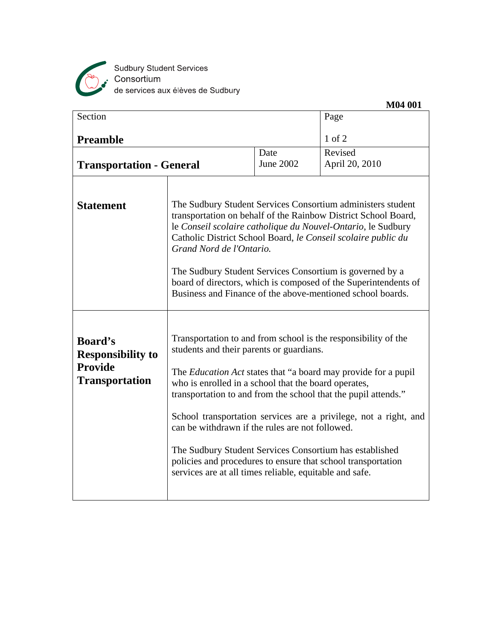

|                                                                                       |                                                                                                                                                                                                                                                                                                                                                                                                                                                                                                                                                                                                                            |                   | M04 001                   |
|---------------------------------------------------------------------------------------|----------------------------------------------------------------------------------------------------------------------------------------------------------------------------------------------------------------------------------------------------------------------------------------------------------------------------------------------------------------------------------------------------------------------------------------------------------------------------------------------------------------------------------------------------------------------------------------------------------------------------|-------------------|---------------------------|
| Section                                                                               |                                                                                                                                                                                                                                                                                                                                                                                                                                                                                                                                                                                                                            |                   | Page                      |
| <b>Preamble</b>                                                                       |                                                                                                                                                                                                                                                                                                                                                                                                                                                                                                                                                                                                                            |                   | $1$ of $2$                |
| <b>Transportation - General</b>                                                       |                                                                                                                                                                                                                                                                                                                                                                                                                                                                                                                                                                                                                            | Date<br>June 2002 | Revised<br>April 20, 2010 |
| <b>Statement</b>                                                                      | The Sudbury Student Services Consortium administers student<br>transportation on behalf of the Rainbow District School Board,<br>le Conseil scolaire catholique du Nouvel-Ontario, le Sudbury<br>Catholic District School Board, le Conseil scolaire public du<br>Grand Nord de l'Ontario.<br>The Sudbury Student Services Consortium is governed by a<br>board of directors, which is composed of the Superintendents of<br>Business and Finance of the above-mentioned school boards.                                                                                                                                    |                   |                           |
| <b>Board's</b><br><b>Responsibility to</b><br><b>Provide</b><br><b>Transportation</b> | Transportation to and from school is the responsibility of the<br>students and their parents or guardians.<br>The <i>Education Act</i> states that "a board may provide for a pupil<br>who is enrolled in a school that the board operates,<br>transportation to and from the school that the pupil attends."<br>School transportation services are a privilege, not a right, and<br>can be withdrawn if the rules are not followed.<br>The Sudbury Student Services Consortium has established<br>policies and procedures to ensure that school transportation<br>services are at all times reliable, equitable and safe. |                   |                           |
|                                                                                       |                                                                                                                                                                                                                                                                                                                                                                                                                                                                                                                                                                                                                            |                   |                           |